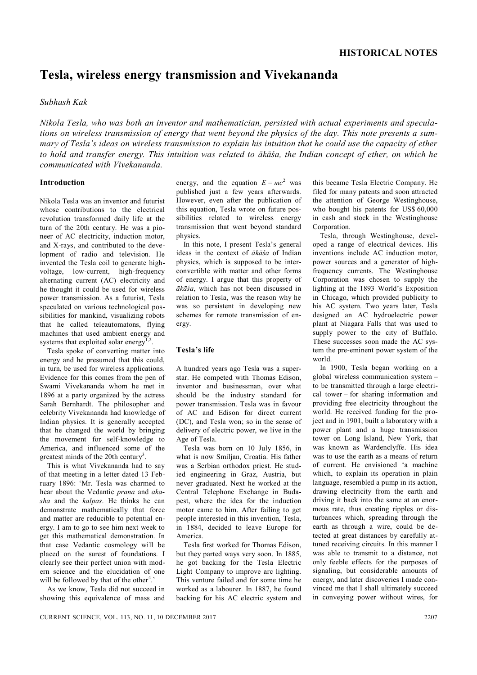# **Tesla, wireless energy transmission and Vivekananda**

# *Subhash Kak*

*Nikola Tesla, who was both an inventor and mathematician, persisted with actual experiments and speculations on wireless transmission of energy that went beyond the physics of the day. This note presents a summary of Tesla's ideas on wireless transmission to explain his intuition that he could use the capacity of ether to hold and transfer energy. This intuition was related to ākāśa, the Indian concept of ether, on which he communicated with Vivekananda.*

# **Introduction**

Nikola Tesla was an inventor and futurist whose contributions to the electrical revolution transformed daily life at the turn of the 20th century. He was a pioneer of AC electricity, induction motor, and X-rays, and contributed to the development of radio and television. He invented the Tesla coil to generate highvoltage, low-current, high-frequency alternating current (AC) electricity and he thought it could be used for wireless power transmission. As a futurist, Tesla speculated on various technological possibilities for mankind, visualizing robots that he called teleautomatons, flying machines that used ambient energy and systems that exploited solar energy<sup>1</sup> .

Tesla spoke of converting matter into energy and he presumed that this could, in turn, be used for wireless applications. Evidence for this comes from the pen of Swami Vivekananda whom he met in 1896 at a party organized by the actress Sarah Bernhardt. The philosopher and celebrity Vivekananda had knowledge of Indian physics. It is generally accepted that he changed the world by bringing the movement for self-knowledge to America, and influenced some of the greatest minds of the 20th century<sup>3</sup>.

This is what Vivekananda had to say of that meeting in a letter dated 13 February 1896: 'Mr. Tesla was charmed to hear about the Vedantic *prana* and *akasha* and the *kalpas*. He thinks he can demonstrate mathematically that force and matter are reducible to potential energy. I am to go to see him next week to get this mathematical demonstration. In that case Vedantic cosmology will be placed on the surest of foundations. I clearly see their perfect union with modern science and the elucidation of one will be followed by that of the other<sup>4</sup>.'

As we know, Tesla did not succeed in showing this equivalence of mass and

energy, and the equation  $E = mc^2$  was published just a few years afterwards. However, even after the publication of this equation, Tesla wrote on future possibilities related to wireless energy transmission that went beyond standard physics.

In this note, I present Tesla's general ideas in the context of *ākāśa* of Indian physics, which is supposed to be interconvertible with matter and other forms of energy. I argue that this property of *ākāśa*, which has not been discussed in relation to Tesla, was the reason why he was so persistent in developing new schemes for remote transmission of energy.

### **Tesla's life**

A hundred years ago Tesla was a superstar. He competed with Thomas Edison, inventor and businessman, over what should be the industry standard for power transmission. Tesla was in favour of AC and Edison for direct current (DC), and Tesla won; so in the sense of delivery of electric power, we live in the Age of Tesla.

Tesla was born on 10 July 1856, in what is now Smiljan, Croatia. His father was a Serbian orthodox priest. He studied engineering in Graz, Austria, but never graduated. Next he worked at the Central Telephone Exchange in Budapest, where the idea for the induction motor came to him. After failing to get people interested in this invention, Tesla, in 1884, decided to leave Europe for America.

Tesla first worked for Thomas Edison, but they parted ways very soon. In 1885, he got backing for the Tesla Electric Light Company to improve arc lighting. This venture failed and for some time he worked as a labourer. In 1887, he found backing for his AC electric system and this became Tesla Electric Company. He filed for many patents and soon attracted the attention of George Westinghouse, who bought his patents for US\$ 60,000 in cash and stock in the Westinghouse Corporation.

Tesla, through Westinghouse, developed a range of electrical devices. His inventions include AC induction motor, power sources and a generator of highfrequency currents. The Westinghouse Corporation was chosen to supply the lighting at the 1893 World's Exposition in Chicago, which provided publicity to his AC system. Two years later, Tesla designed an AC hydroelectric power plant at Niagara Falls that was used to supply power to the city of Buffalo. These successes soon made the AC system the pre-eminent power system of the world.

In 1900, Tesla began working on a global wireless communication system – to be transmitted through a large electrical tower – for sharing information and providing free electricity throughout the world. He received funding for the project and in 1901, built a laboratory with a power plant and a huge transmission tower on Long Island, New York, that was known as Wardenclyffe. His idea was to use the earth as a means of return of current. He envisioned 'a machine which, to explain its operation in plain language, resembled a pump in its action, drawing electricity from the earth and driving it back into the same at an enormous rate, thus creating ripples or disturbances which, spreading through the earth as through a wire, could be detected at great distances by carefully attuned receiving circuits. In this manner I was able to transmit to a distance, not only feeble effects for the purposes of signaling, but considerable amounts of energy, and later discoveries I made convinced me that I shall ultimately succeed in conveying power without wires, for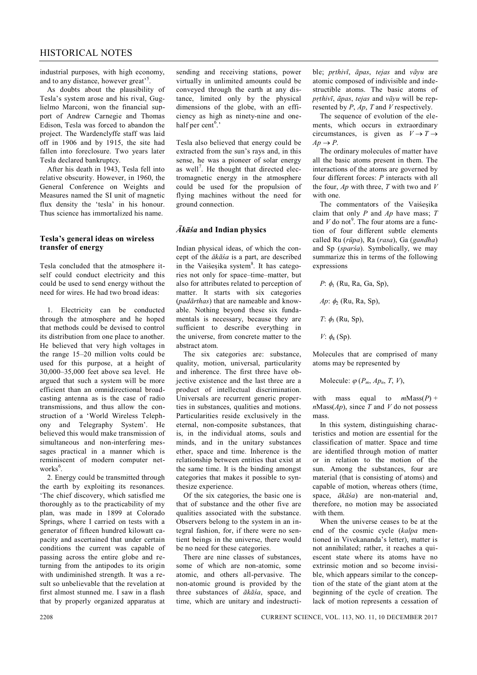# HISTORICAL NOTES

industrial purposes, with high economy, and to any distance, however great'<sup>5</sup>.

As doubts about the plausibility of Tesla's system arose and his rival, Guglielmo Marconi, won the financial support of Andrew Carnegie and Thomas Edison, Tesla was forced to abandon the project. The Wardenclyffe staff was laid off in 1906 and by 1915, the site had fallen into foreclosure. Two years later Tesla declared bankruptcy.

After his death in 1943, Tesla fell into relative obscurity. However, in 1960, the General Conference on Weights and Measures named the SI unit of magnetic flux density the 'tesla' in his honour. Thus science has immortalized his name.

#### **Tesla's general ideas on wireless transfer of energy**

Tesla concluded that the atmosphere itself could conduct electricity and this could be used to send energy without the need for wires. He had two broad ideas:

1. Electricity can be conducted through the atmosphere and he hoped that methods could be devised to control its distribution from one place to another. He believed that very high voltages in the range 15–20 million volts could be used for this purpose, at a height of 30,000–35,000 feet above sea level. He argued that such a system will be more efficient than an omnidirectional broadcasting antenna as is the case of radio transmissions, and thus allow the construction of a 'World Wireless Telephony and Telegraphy System'. He believed this would make transmission of simultaneous and non-interfering messages practical in a manner which is reminiscent of modern computer networks<sup>6</sup>.

2. Energy could be transmitted through the earth by exploiting its resonances. 'The chief discovery, which satisfied me thoroughly as to the practicability of my plan, was made in 1899 at Colorado Springs, where I carried on tests with a generator of fifteen hundred kilowatt capacity and ascertained that under certain conditions the current was capable of passing across the entire globe and returning from the antipodes to its origin with undiminished strength. It was a result so unbelievable that the revelation at first almost stunned me. I saw in a flash that by properly organized apparatus at

sending and receiving stations, power virtually in unlimited amounts could be conveyed through the earth at any distance, limited only by the physical dimensions of the globe, with an efficiency as high as ninety-nine and onehalf per cent<sup>6</sup>.'

Tesla also believed that energy could be extracted from the sun's rays and, in this sense, he was a pioneer of solar energy as well<sup>7</sup>. He thought that directed electromagnetic energy in the atmosphere could be used for the propulsion of flying machines without the need for ground connection.

## *Ākāśa* **and Indian physics**

Indian physical ideas, of which the concept of the *ākāśa* is a part, are described in the Vaiśesika system<sup>8</sup>. It has categories not only for space–time–matter, but also for attributes related to perception of matter. It starts with six categories (*padārthas*) that are nameable and knowable. Nothing beyond these six fundamentals is necessary, because they are sufficient to describe everything in the universe, from concrete matter to the abstract atom.

The six categories are: substance, quality, motion, universal, particularity and inherence. The first three have objective existence and the last three are a product of intellectual discrimination. Universals are recurrent generic properties in substances, qualities and motions. Particularities reside exclusively in the eternal, non-composite substances, that is, in the individual atoms, souls and minds, and in the unitary substances ether, space and time. Inherence is the relationship between entities that exist at the same time. It is the binding amongst categories that makes it possible to synthesize experience.

Of the six categories, the basic one is that of substance and the other five are qualities associated with the substance. Observers belong to the system in an integral fashion, for, if there were no sentient beings in the universe, there would be no need for these categories.

There are nine classes of substances, some of which are non-atomic, some atomic, and others all-pervasive. The non-atomic ground is provided by the three substances of *ākāśa*, space, and time, which are unitary and indestructible; *prthivī*, *āpas*, *tejas* and *vāyu* are atomic composed of indivisible and indestructible atoms. The basic atoms of *prthivī*, *āpas*, *tejas* and *vāyu* will be represented by *P*, *Ap*, *T* and *V* respectively.

The sequence of evolution of the elements, which occurs in extraordinary circumstances, is given as  $V \to T \to$  $Ap \rightarrow P$ .

The ordinary molecules of matter have all the basic atoms present in them. The interactions of the atoms are governed by four different forces: *P* interacts with all the four, *Ap* with three, *T* with two and *V* with one.

The commentators of the Vaiśesika claim that only *P* and *Ap* have mass; *T* and  $V$  do not<sup>9</sup>. The four atoms are a function of four different subtle elements called Ru (*rūpa*), Ra (*rasa*), Ga (*gandha*) and Sp (*sparśa*). Symbolically, we may summarize this in terms of the following expressions

$$
P: \phi_1
$$
 (Ru, Ra, Ga, Sp), 
$$
Ap: \phi_2
$$
 (Ru, Ra, Sp), 
$$
T: \phi_3
$$
 (Ru, Sp), 
$$
V: \phi_4
$$
 (Sp).

Molecules that are comprised of many atoms may be represented by

Molecule:  $\varphi$  ( $P_m$ ,  $Ap_n$ ,  $T$ ,  $V$ ),

with mass equal to  $mMass(P)$  +  $n$ Mass( $Ap$ ), since *T* and *V* do not possess mass.

In this system, distinguishing characteristics and motion are essential for the classification of matter. Space and time are identified through motion of matter or in relation to the motion of the sun. Among the substances, four are material (that is consisting of atoms) and capable of motion, whereas others (time, space, *ākāśa*) are non-material and, therefore, no motion may be associated with them.

When the universe ceases to be at the end of the cosmic cycle (*kalpa* mentioned in Vivekananda's letter), matter is not annihilated; rather, it reaches a quiescent state where its atoms have no extrinsic motion and so become invisible, which appears similar to the conception of the state of the giant atom at the beginning of the cycle of creation. The lack of motion represents a cessation of